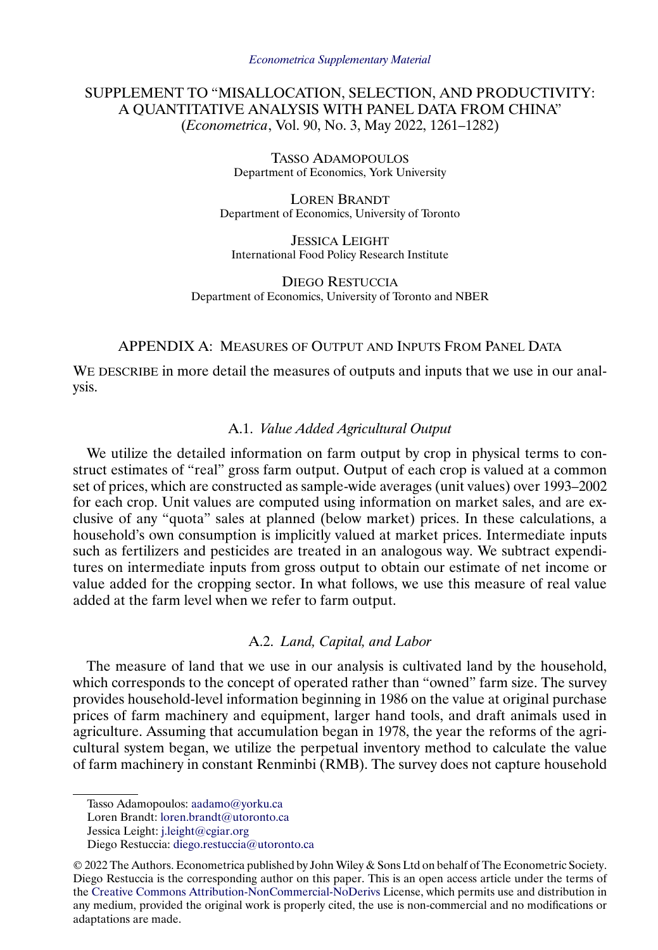# SUPPLEMENT TO "MISALLOCATION, SELECTION, AND PRODUCTIVITY: A QUANTITATIVE ANALYSIS WITH PANEL DATA FROM CHINA" (*Econometrica*, Vol. 90, No. 3, May 2022, 1261–1282)

TASSO ADAMOPOULOS Department of Economics, York University

LOREN BRANDT Department of Economics, University of Toronto

JESSICA LEIGHT International Food Policy Research Institute

DIEGO RESTUCCIA Department of Economics, University of Toronto and NBER

# APPENDIX A: MEASURES OF OUTPUT AND INPUTS FROM PANEL DATA

WE DESCRIBE in more detail the measures of outputs and inputs that we use in our analysis.

# A.1. *Value Added Agricultural Output*

We utilize the detailed information on farm output by crop in physical terms to construct estimates of "real" gross farm output. Output of each crop is valued at a common set of prices, which are constructed as sample-wide averages (unit values) over 1993–2002 for each crop. Unit values are computed using information on market sales, and are exclusive of any "quota" sales at planned (below market) prices. In these calculations, a household's own consumption is implicitly valued at market prices. Intermediate inputs such as fertilizers and pesticides are treated in an analogous way. We subtract expenditures on intermediate inputs from gross output to obtain our estimate of net income or value added for the cropping sector. In what follows, we use this measure of real value added at the farm level when we refer to farm output.

# A.2. *Land, Capital, and Labor*

The measure of land that we use in our analysis is cultivated land by the household, which corresponds to the concept of operated rather than "owned" farm size. The survey provides household-level information beginning in 1986 on the value at original purchase prices of farm machinery and equipment, larger hand tools, and draft animals used in agriculture. Assuming that accumulation began in 1978, the year the reforms of the agricultural system began, we utilize the perpetual inventory method to calculate the value of farm machinery in constant Renminbi (RMB). The survey does not capture household

Tasso Adamopoulos: [aadamo@yorku.ca](mailto:aadamo@yorku.ca)

Loren Brandt: [loren.brandt@utoronto.ca](mailto:loren.brandt@utoronto.ca)

Jessica Leight: [j.leight@cgiar.org](mailto:j.leight@cgiar.org)

Diego Restuccia: [diego.restuccia@utoronto.ca](mailto:diego.restuccia@utoronto.ca)

<sup>© 2022</sup> The Authors. Econometrica published by John Wiley & Sons Ltd on behalf of The Econometric Society. Diego Restuccia is the corresponding author on this paper. This is an open access article under the terms of the [Creative Commons Attribution-NonCommercial-NoDerivs](https://creativecommons.org/licenses/by-nc-nd/4.0/) License, which permits use and distribution in any medium, provided the original work is properly cited, the use is non-commercial and no modifications or adaptations are made.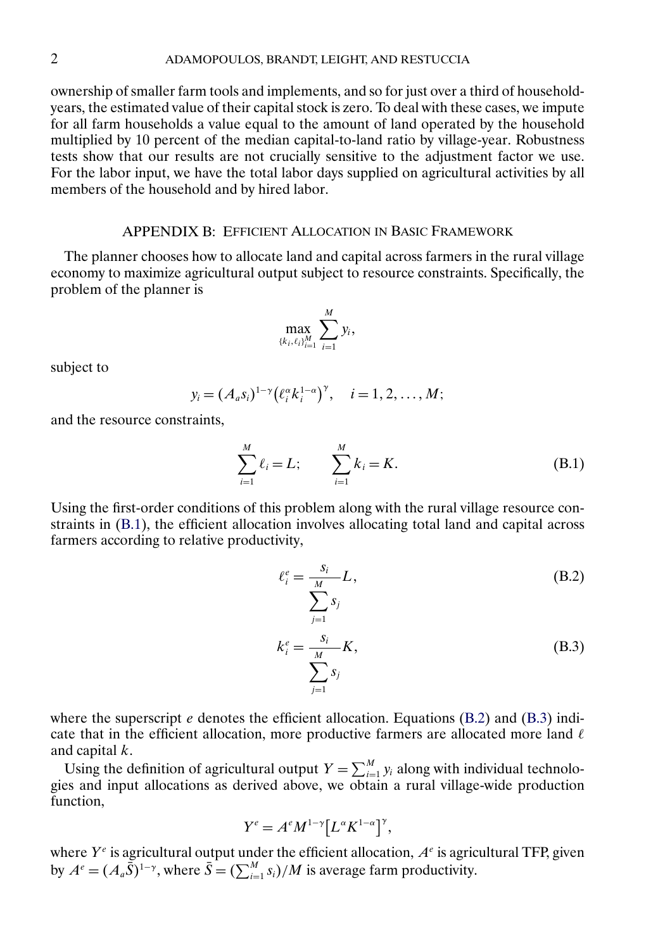<span id="page-1-0"></span>ownership of smaller farm tools and implements, and so for just over a third of householdyears, the estimated value of their capital stock is zero. To deal with these cases, we impute for all farm households a value equal to the amount of land operated by the household multiplied by 10 percent of the median capital-to-land ratio by village-year. Robustness tests show that our results are not crucially sensitive to the adjustment factor we use. For the labor input, we have the total labor days supplied on agricultural activities by all members of the household and by hired labor.

### APPENDIX B: EFFICIENT ALLOCATION IN BASIC FRAMEWORK

The planner chooses how to allocate land and capital across farmers in the rural village economy to maximize agricultural output subject to resource constraints. Specifically, the problem of the planner is

$$
\max_{\{k_i,\ell_i\}_{i=1}^M} \sum_{i=1}^M y_i,
$$

subject to

$$
y_i = (A_a s_i)^{1-\gamma} \bigl(\ell_i^{\alpha} k_i^{1-\alpha}\bigr)^{\gamma}, \quad i = 1, 2, \ldots, M;
$$

and the resource constraints,

$$
\sum_{i=1}^{M} \ell_i = L; \qquad \sum_{i=1}^{M} k_i = K.
$$
 (B.1)

Using the first-order conditions of this problem along with the rural village resource constraints in (B.1), the efficient allocation involves allocating total land and capital across farmers according to relative productivity,

$$
\ell_i^e = \frac{s_i}{\sum_{j=1}^M s_j} L,
$$
\n(B.2)\n
$$
k_i^e = \frac{s_i}{\sum_{j=1}^M K},
$$
\n(B.3)

where the superscript  $e$  denotes the efficient allocation. Equations (B.2) and (B.3) indicate that in the efficient allocation, more productive farmers are allocated more land  $\ell$ and capital  $k$ .

 $j=1$ 

Using the definition of agricultural output  $Y = \sum_{i=1}^{M} y_i$  along with individual technologies and input allocations as derived above, we obtain a rural village-wide production function,

$$
Y^e=A^eM^{1-\gamma}\big[L^{\alpha}K^{1-\alpha}\big]^{\gamma},
$$

where  $Y^e$  is agricultural output under the efficient allocation,  $A^e$  is agricultural TFP, given by  $A^e = (A_a \bar{S})^{1-\gamma}$ , where  $\bar{S} = (\sum_{i=1}^M s_i)/M$  is average farm productivity.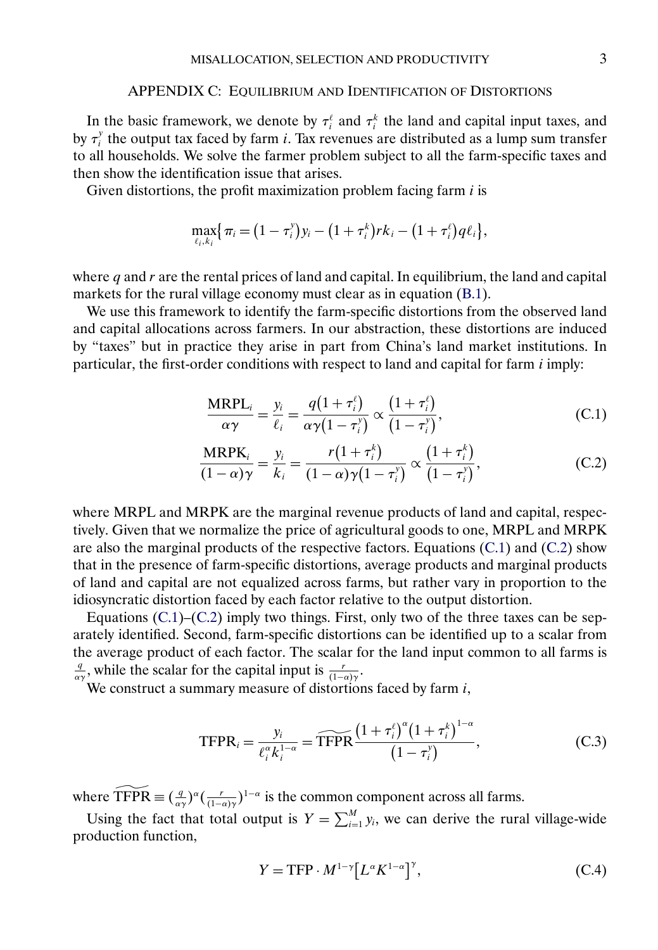#### APPENDIX C: EQUILIBRIUM AND IDENTIFICATION OF DISTORTIONS

In the basic framework, we denote by  $\tau_i^{\ell}$  and  $\tau_i^k$  the land and capital input taxes, and by  $\tau_i^y$  the output tax faced by farm *i*. Tax revenues are distributed as a lump sum transfer to all households. We solve the farmer problem subject to all the farm-specific taxes and then show the identification issue that arises.

Given distortions, the profit maximization problem facing farm  $i$  is

$$
\max_{\ell_i, k_i} \{ \pi_i = (1 - \tau_i^y) y_i - (1 + \tau_i^k) r k_i - (1 + \tau_i^{\ell}) q \ell_i \},
$$

where  $q$  and  $r$  are the rental prices of land and capital. In equilibrium, the land and capital markets for the rural village economy must clear as in equation [\(B.1\)](#page-1-0).

We use this framework to identify the farm-specific distortions from the observed land and capital allocations across farmers. In our abstraction, these distortions are induced by "taxes" but in practice they arise in part from China's land market institutions. In particular, the first-order conditions with respect to land and capital for farm  $i$  imply:

$$
\frac{\text{MRPL}_i}{\alpha \gamma} = \frac{y_i}{\ell_i} = \frac{q(1 + \tau_i^{\ell})}{\alpha \gamma (1 - \tau_i^{\gamma})} \propto \frac{(1 + \tau_i^{\ell})}{(1 - \tau_i^{\gamma})},
$$
(C.1)

$$
\frac{\text{MRPK}_i}{(1-\alpha)\gamma} = \frac{y_i}{k_i} = \frac{r(1+\tau_i^k)}{(1-\alpha)\gamma(1-\tau_i^{\gamma})} \propto \frac{(1+\tau_i^k)}{(1-\tau_i^{\gamma})},
$$
(C.2)

where MRPL and MRPK are the marginal revenue products of land and capital, respectively. Given that we normalize the price of agricultural goods to one, MRPL and MRPK are also the marginal products of the respective factors. Equations (C.1) and (C.2) show that in the presence of farm-specific distortions, average products and marginal products of land and capital are not equalized across farms, but rather vary in proportion to the idiosyncratic distortion faced by each factor relative to the output distortion.

Equations  $(C.1)$ – $(C.2)$  imply two things. First, only two of the three taxes can be separately identified. Second, farm-specific distortions can be identified up to a scalar from the average product of each factor. The scalar for the land input common to all farms is  $\frac{q}{\alpha\gamma}$ , while the scalar for the capital input is  $\frac{r}{(1-\alpha)\gamma}$ .

We construct a summary measure of distortions faced by farm *i*,  
\n
$$
\text{TFPR}_{i} = \frac{y_{i}}{\ell_{i}^{\alpha} k_{i}^{1-\alpha}} = \widehat{\text{TFPR}} \frac{\left(1 + \tau_{i}^{\ell}\right)^{\alpha} \left(1 + \tau_{i}^{k}\right)^{1-\alpha}}{\left(1 - \tau_{i}^{y}\right)}, \tag{C.3}
$$

 $I \Gamma \Gamma \Gamma_{ij} = \frac{\partial^2}{\partial^2 k_i^{1-\alpha}} = I \Gamma \Gamma \Gamma$   $(1-\tau_i^y)$ ,<br>where  $\widehat{TFPR} \equiv (\frac{q}{\alpha y})^{\alpha} (\frac{r}{(1-\alpha)y})^{1-\alpha}$  is the common component across all farms.

Using the fact that total output is  $Y = \sum_{i=1}^{M} y_i$ , we can derive the rural village-wide production function,

$$
Y = \text{TFP} \cdot M^{1-\gamma} \left[ L^{\alpha} K^{1-\alpha} \right]^{\gamma},\tag{C.4}
$$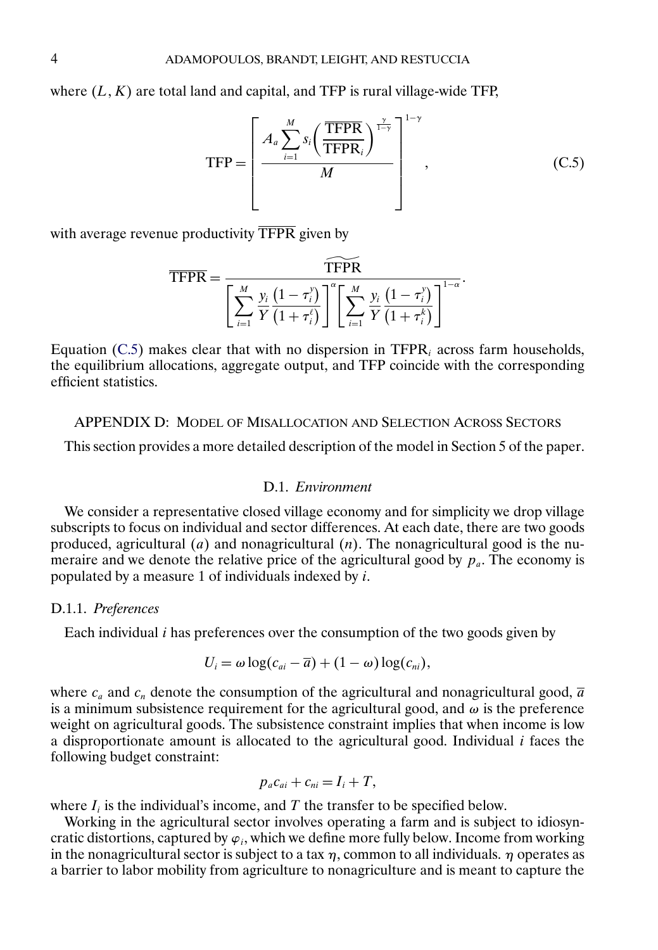where  $(L, K)$  are total land and capital, and TFP is rural village-wide TFP,

$$
\text{TFP} = \left[\frac{A_a \sum_{i=1}^{M} s_i \left(\frac{\text{TFPR}}{\text{TFPR}_i}\right)^{\frac{\gamma}{1-\gamma}}}{M}\right]^{1-\gamma},\tag{C.5}
$$

with average revenue productivity TFPR given by

ue productivity 
$$
\overline{\text{TFPR}}
$$
 given by  
\n
$$
\overline{\text{TFPR}} = \frac{\widehat{\text{TFPR}}}{\left[\sum_{i=1}^{M} \frac{y_i}{Y} \frac{(1-\tau_i^y)}{(1+\tau_i^{\ell})}\right]^{\alpha} \left[\sum_{i=1}^{M} \frac{y_i}{Y} \frac{(1-\tau_i^y)}{(1+\tau_i^{\ell})}\right]^{1-\alpha}}.
$$

Equation (C.5) makes clear that with no dispersion in TFP $R_i$  across farm households, the equilibrium allocations, aggregate output, and TFP coincide with the corresponding efficient statistics.

#### APPENDIX D: MODEL OF MISALLOCATION AND SELECTION ACROSS SECTORS

This section provides a more detailed description of the model in Section 5 of the paper.

# D.1. *Environment*

We consider a representative closed village economy and for simplicity we drop village subscripts to focus on individual and sector differences. At each date, there are two goods produced, agricultural  $(a)$  and nonagricultural  $(n)$ . The nonagricultural good is the numeraire and we denote the relative price of the agricultural good by  $p_a$ . The economy is populated by a measure 1 of individuals indexed by  $i$ .

### D.1.1. *Preferences*

Each individual  $i$  has preferences over the consumption of the two goods given by

$$
U_i = \omega \log(c_{ai} - \overline{a}) + (1 - \omega) \log(c_{ni}),
$$

where  $c_a$  and  $c_n$  denote the consumption of the agricultural and nonagricultural good,  $\overline{a}$ is a minimum subsistence requirement for the agricultural good, and  $\omega$  is the preference weight on agricultural goods. The subsistence constraint implies that when income is low a disproportionate amount is allocated to the agricultural good. Individual  $i$  faces the following budget constraint:

$$
p_a c_{ai} + c_{ni} = I_i + T,
$$

where  $I_i$  is the individual's income, and T the transfer to be specified below.

Working in the agricultural sector involves operating a farm and is subject to idiosyncratic distortions, captured by  $\varphi_i$ , which we define more fully below. Income from working in the nonagricultural sector is subject to a tax  $\eta$ , common to all individuals.  $\eta$  operates as a barrier to labor mobility from agriculture to nonagriculture and is meant to capture the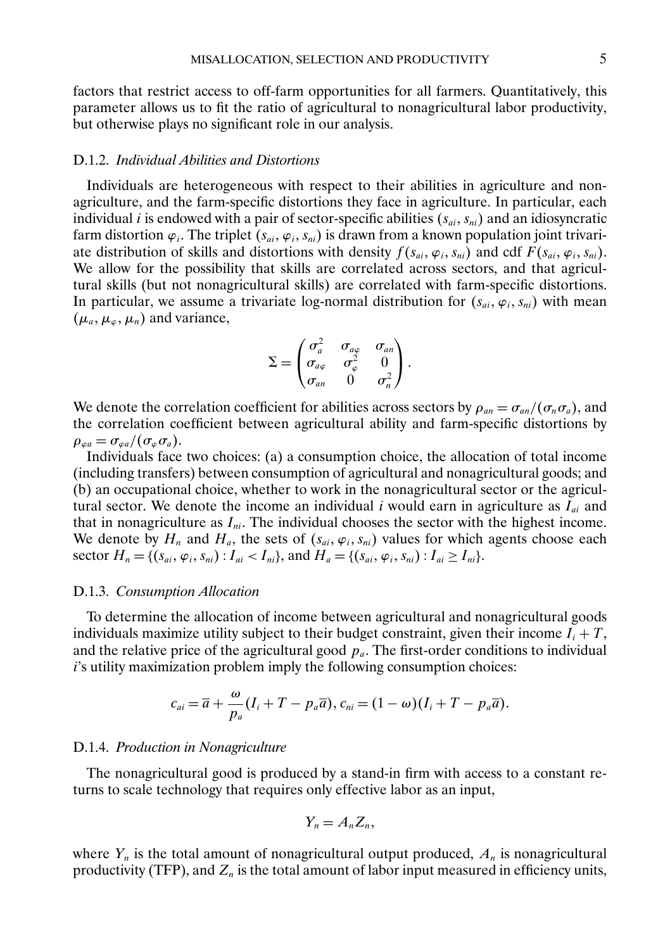factors that restrict access to off-farm opportunities for all farmers. Quantitatively, this parameter allows us to fit the ratio of agricultural to nonagricultural labor productivity, but otherwise plays no significant role in our analysis.

## D.1.2. *Individual Abilities and Distortions*

Individuals are heterogeneous with respect to their abilities in agriculture and nonagriculture, and the farm-specific distortions they face in agriculture. In particular, each individual *i* is endowed with a pair of sector-specific abilities  $(s_{ai}, s_{ni})$  and an idiosyncratic farm distortion  $\varphi_i$ . The triplet  $(s_{ai}, \varphi_i, s_{ni})$  is drawn from a known population joint trivariate distribution of skills and distortions with density  $f(s_{ai}, \varphi_i, s_{ni})$  and cdf  $F(s_{ai}, \varphi_i, s_{ni})$ . We allow for the possibility that skills are correlated across sectors, and that agricultural skills (but not nonagricultural skills) are correlated with farm-specific distortions. In particular, we assume a trivariate log-normal distribution for  $(s_{ai}, \varphi_i, s_{ni})$  with mean  $(\mu_a, \mu_{\varphi}, \mu_n)$  and variance,

$$
\Sigma = \begin{pmatrix} \sigma_a^2 & \sigma_{a\varphi} & \sigma_{an} \\ \sigma_{a\varphi} & \sigma_{\varphi}^2 & 0 \\ \sigma_{an} & 0 & \sigma_n^2 \end{pmatrix}.
$$

We denote the correlation coefficient for abilities across sectors by  $\rho_{an} = \sigma_{an}/(\sigma_n \sigma_a)$ , and the correlation coefficient between agricultural ability and farm-specific distortions by  $\rho_{\varphi a} = \sigma_{\varphi a}/(\sigma_{\varphi} \sigma_{a}).$ 

Individuals face two choices: (a) a consumption choice, the allocation of total income (including transfers) between consumption of agricultural and nonagricultural goods; and (b) an occupational choice, whether to work in the nonagricultural sector or the agricultural sector. We denote the income an individual i would earn in agriculture as  $I_{ai}$  and that in nonagriculture as  $I_{ni}$ . The individual chooses the sector with the highest income. We denote by  $H_n$  and  $H_a$ , the sets of  $(s_{ai}, \varphi_i, s_{ni})$  values for which agents choose each sector  $H_n = \{(s_{ai}, \varphi_i, s_{ni}) : I_{ai} < I_{ni}\}$ , and  $H_a = \{(s_{ai}, \varphi_i, s_{ni}) : I_{ai} \ge I_{ni}\}$ .

#### D.1.3. *Consumption Allocation*

To determine the allocation of income between agricultural and nonagricultural goods individuals maximize utility subject to their budget constraint, given their income  $I_i + T$ , and the relative price of the agricultural good  $p_a$ . The first-order conditions to individual i's utility maximization problem imply the following consumption choices:

$$
c_{ai} = \overline{a} + \frac{\omega}{p_a}(I_i + T - p_a \overline{a}), c_{ni} = (1 - \omega)(I_i + T - p_a \overline{a}).
$$

#### D.1.4. *Production in Nonagriculture*

The nonagricultural good is produced by a stand-in firm with access to a constant returns to scale technology that requires only effective labor as an input,

$$
Y_n=A_nZ_n,
$$

where  $Y_n$  is the total amount of nonagricultural output produced,  $A_n$  is nonagricultural productivity (TFP), and  $Z_n$  is the total amount of labor input measured in efficiency units,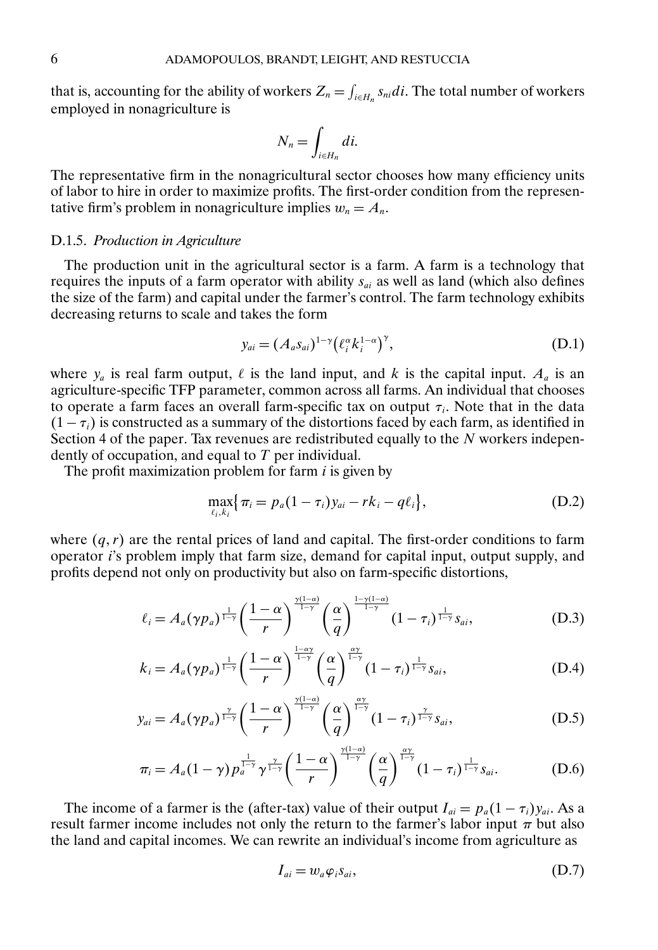<span id="page-5-0"></span>that is, accounting for the ability of workers  $Z_n = \int_{i \in H_n} s_{ni} di$ . The total number of workers employed in nonagriculture is

$$
N_n = \int_{i \in H_n} di.
$$

The representative firm in the nonagricultural sector chooses how many efficiency units of labor to hire in order to maximize profits. The first-order condition from the representative firm's problem in nonagriculture implies  $w_n = A_n$ .

## D.1.5. *Production in Agriculture*

The production unit in the agricultural sector is a farm. A farm is a technology that requires the inputs of a farm operator with ability  $s_{ai}$  as well as land (which also defines the size of the farm) and capital under the farmer's control. The farm technology exhibits decreasing returns to scale and takes the form

$$
y_{ai} = (A_a s_{ai})^{1-\gamma} \left(\ell_i^{\alpha} k_i^{1-\alpha}\right)^{\gamma},\tag{D.1}
$$

where  $y_a$  is real farm output,  $\ell$  is the land input, and k is the capital input.  $A_a$  is an agriculture-specific TFP parameter, common across all farms. An individual that chooses to operate a farm faces an overall farm-specific tax on output  $\tau_i$ . Note that in the data  $(1 - \tau_i)$  is constructed as a summary of the distortions faced by each farm, as identified in Section 4 of the paper. Tax revenues are redistributed equally to the  $N$  workers independently of occupation, and equal to  $T$  per individual.

The profit maximization problem for farm  $i$  is given by

$$
\max_{\ell_i, k_i} \{ \pi_i = p_a (1 - \tau_i) y_{ai} - r k_i - q \ell_i \},\tag{D.2}
$$

where  $(q, r)$  are the rental prices of land and capital. The first-order conditions to farm operator i's problem imply that farm size, demand for capital input, output supply, and profits depend not only on productivity but also on farm-specific distortions,

$$
\ell_i = A_a(\gamma p_a)^{\frac{1}{1-\gamma}} \left(\frac{1-\alpha}{r}\right)^{\frac{\gamma(1-\alpha)}{1-\gamma}} \left(\frac{\alpha}{q}\right)^{\frac{1-\gamma(1-\alpha)}{1-\gamma}} (1-\tau_i)^{\frac{1}{1-\gamma}} s_{ai}, \tag{D.3}
$$

$$
k_i = A_a(\gamma p_a)^{\frac{1}{1-\gamma}} \left(\frac{1-\alpha}{r}\right)^{\frac{1-\alpha\gamma}{1-\gamma}} \left(\frac{\alpha}{q}\right)^{\frac{\alpha\gamma}{1-\gamma}} (1-\tau_i)^{\frac{1}{1-\gamma}} s_{ai},\tag{D.4}
$$

$$
y_{ai} = A_a(\gamma p_a)^{\frac{\gamma}{1-\gamma}} \left(\frac{1-\alpha}{r}\right)^{\frac{\gamma(1-\alpha)}{1-\gamma}} \left(\frac{\alpha}{q}\right)^{\frac{\alpha\gamma}{1-\gamma}} (1-\tau_i)^{\frac{\gamma}{1-\gamma}} s_{ai},\tag{D.5}
$$

$$
\pi_i = A_a (1-\gamma) p_a^{\frac{1}{1-\gamma}} \gamma^{\frac{\gamma}{1-\gamma}} \left(\frac{1-\alpha}{r}\right)^{\frac{\gamma(1-\alpha)}{1-\gamma}} \left(\frac{\alpha}{q}\right)^{\frac{\alpha\gamma}{1-\gamma}} (1-\tau_i)^{\frac{1}{1-\gamma}} s_{ai}.
$$
 (D.6)

The income of a farmer is the (after-tax) value of their output  $I_{ai} = p_a(1 - \tau_i)y_{ai}$ . As a result farmer income includes not only the return to the farmer's labor input  $\pi$  but also the land and capital incomes. We can rewrite an individual's income from agriculture as

$$
I_{ai} = w_a \varphi_i s_{ai}, \tag{D.7}
$$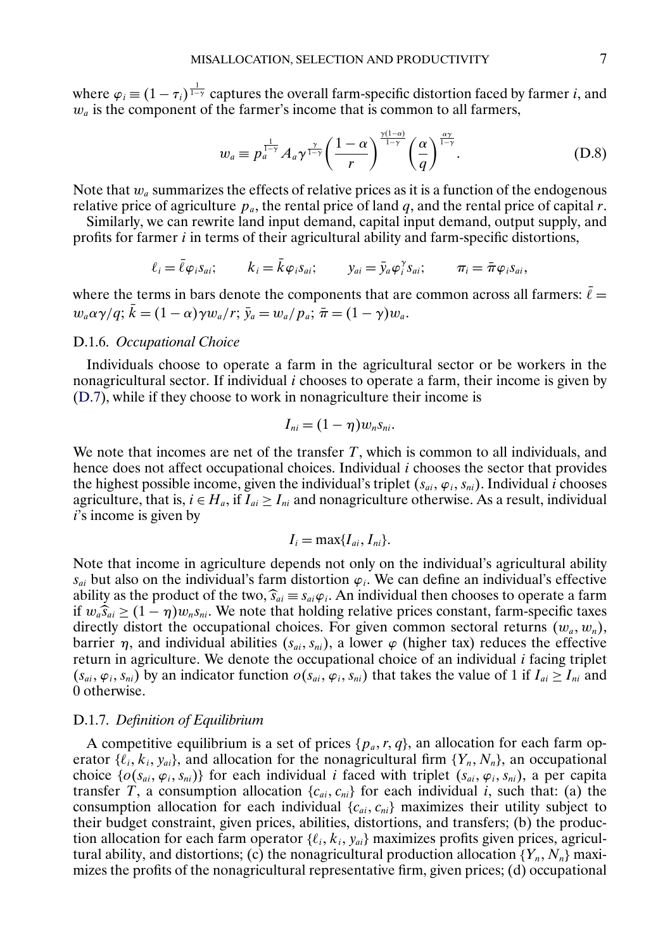where  $\varphi_i \equiv (1 - \tau_i)^{\frac{1}{1-\gamma}}$  captures the overall farm-specific distortion faced by farmer *i*, and  $w_a$  is the component of the farmer's income that is common to all farmers,

$$
w_a \equiv p_a^{\frac{1}{1-\gamma}} A_a \gamma^{\frac{\gamma}{1-\gamma}} \left(\frac{1-\alpha}{r}\right)^{\frac{\gamma(1-\alpha)}{1-\gamma}} \left(\frac{\alpha}{q}\right)^{\frac{\alpha\gamma}{1-\gamma}}.
$$
 (D.8)

Note that  $w_a$  summarizes the effects of relative prices as it is a function of the endogenous relative price of agriculture  $p_a$ , the rental price of land q, and the rental price of capital r.

Similarly, we can rewrite land input demand, capital input demand, output supply, and profits for farmer i in terms of their agricultural ability and farm-specific distortions,

$$
\ell_i = \bar{\ell} \varphi_i s_{ai}; \qquad k_i = \bar{k} \varphi_i s_{ai}; \qquad y_{ai} = \bar{y}_a \varphi_i^{\gamma} s_{ai}; \qquad \pi_i = \bar{\pi} \varphi_i s_{ai},
$$

where the terms in bars denote the components that are common across all farmers:  $\bar{\ell} =$  $w_a\alpha\gamma/q$ ;  $\bar{k}=(1-\alpha)\gamma w_a/r$ ;  $\bar{y}_a=w_a/p_a$ ;  $\bar{\pi}=(1-\gamma)w_a$ .

# D.1.6. *Occupational Choice*

Individuals choose to operate a farm in the agricultural sector or be workers in the nonagricultural sector. If individual  $i$  chooses to operate a farm, their income is given by [\(D.7\)](#page-5-0), while if they choose to work in nonagriculture their income is

$$
I_{ni}=(1-\eta)w_ns_{ni}.
$$

We note that incomes are net of the transfer  $T$ , which is common to all individuals, and hence does not affect occupational choices. Individual  $i$  chooses the sector that provides the highest possible income, given the individual's triplet  $(s_{ai}, \varphi_i, s_{ni})$ . Individual *i* chooses agriculture, that is,  $i \in H_a$ , if  $\overline{I}_{ai} \ge I_{ni}$  and nonagriculture otherwise. As a result, individual  $i$ 's income is given by

$$
I_i = \max\{I_{ai}, I_{ni}\}.
$$

Note that income in agriculture depends not only on the individual's agricultural ability  $s_{ai}$  but also on the individual's farm distortion  $\varphi_i$ . We can define an individual's effective ability as the product of the two,  $\hat{s}_{ai} \equiv s_{ai} \varphi_i$ . An individual then chooses to operate a farm if  $w_a \hat{s}_{ai} \ge (1 - \eta) w_n s_{ni}$ . We note that holding relative prices constant, farm-specific taxes directly distort the occupational choices. For given common sectoral returns  $(w_a, w_n)$ , barrier  $\eta$ , and individual abilities  $(s_{ai}, s_{ni})$ , a lower  $\varphi$  (higher tax) reduces the effective return in agriculture. We denote the occupational choice of an individual i facing triplet  $(s_{ai}, \varphi_i, s_{ni})$  by an indicator function  $o(s_{ai}, \varphi_i, s_{ni})$  that takes the value of 1 if  $I_{ai} \ge I_{ni}$  and 0 otherwise.

### D.1.7. *Definition of Equilibrium*

A competitive equilibrium is a set of prices  $\{p_a, r, q\}$ , an allocation for each farm operator { $\ell_i$ ,  $k_i$ ,  $y_{ai}$ }, and allocation for the nonagricultural firm { $Y_n$ ,  $N_n$ }, an occupational choice  $\{o(s_{ai}, \varphi_i, s_{ni})\}$  for each individual *i* faced with triplet  $(s_{ai}, \varphi_i, s_{ni})$ , a per capita transfer T, a consumption allocation  $\{c_{ai}, c_{ni}\}$  for each individual i, such that: (a) the consumption allocation for each individual  ${c_{ai}, c_{ni}}$  maximizes their utility subject to their budget constraint, given prices, abilities, distortions, and transfers; (b) the production allocation for each farm operator  $\{\ell_i, k_i, y_{ai}\}$  maximizes profits given prices, agricultural ability, and distortions; (c) the nonagricultural production allocation  $\{Y_n, N_n\}$  maximizes the profits of the nonagricultural representative firm, given prices; (d) occupational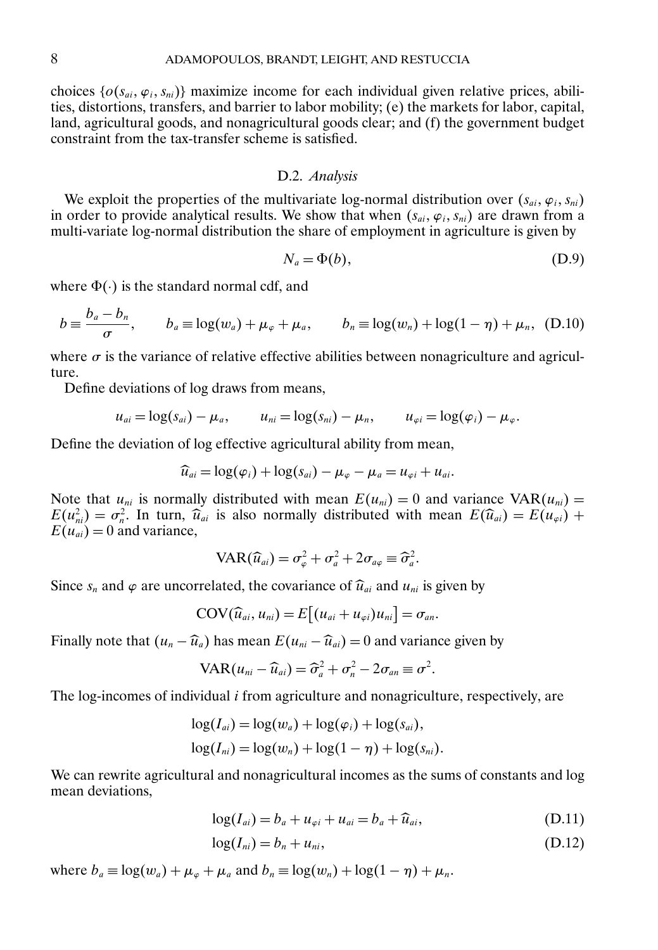<span id="page-7-0"></span>choices  $\{o(s_{ai}, \varphi_i, s_{ni})\}$  maximize income for each individual given relative prices, abilities, distortions, transfers, and barrier to labor mobility; (e) the markets for labor, capital, land, agricultural goods, and nonagricultural goods clear; and (f) the government budget constraint from the tax-transfer scheme is satisfied.

## D.2. *Analysis*

We exploit the properties of the multivariate log-normal distribution over  $(s_{ai}, \varphi_i, s_{ni})$ in order to provide analytical results. We show that when  $(s_{ai}, \varphi_i, s_{ni})$  are drawn from a multi-variate log-normal distribution the share of employment in agriculture is given by

$$
N_a = \Phi(b),\tag{D.9}
$$

where  $\Phi(\cdot)$  is the standard normal cdf, and

$$
b \equiv \frac{b_a - b_n}{\sigma}, \qquad b_a \equiv \log(w_a) + \mu_\varphi + \mu_a, \qquad b_n \equiv \log(w_n) + \log(1 - \eta) + \mu_n, \quad (D.10)
$$

where  $\sigma$  is the variance of relative effective abilities between nonagriculture and agriculture.

Define deviations of log draws from means,

$$
u_{ai} = \log(s_{ai}) - \mu_a, \qquad u_{ni} = \log(s_{ni}) - \mu_n, \qquad u_{\varphi i} = \log(\varphi_i) - \mu_{\varphi}.
$$

Define the deviation of log effective agricultural ability from mean,

$$
\widehat{u}_{ai} = \log(\varphi_i) + \log(s_{ai}) - \mu_{\varphi} - \mu_a = u_{\varphi i} + u_{ai}.
$$

Note that  $u_{ni}$  is normally distributed with mean  $E(u_{ni}) = 0$  and variance VAR $(u_{ni}) =$  $E(u_{ni}^2) = \sigma_n^2$ . In turn,  $\hat{u}_{ai}$  is also normally distributed with mean  $E(\hat{u}_{ai}) = E(u_{\varphi i}) + E(u_{\varphi i}) - 0$  and variance  $E(u_{ai}) = 0$  and variance,

$$
VAR(\widehat{u}_{ai}) = \sigma_{\varphi}^2 + \sigma_a^2 + 2\sigma_{a\varphi} \equiv \widehat{\sigma}_a^2.
$$

Since  $s_n$  and  $\varphi$  are uncorrelated, the covariance of  $\widehat{u}_{ai}$  and  $u_{ni}$  is given by

$$
COV(\widehat{u}_{ai}, u_{ni}) = E[(u_{ai} + u_{\varphi i})u_{ni}] = \sigma_{an}.
$$

Finally note that  $(u_n - \widehat{u}_a)$  has mean  $E(u_{ni} - \widehat{u}_{ai}) = 0$  and variance given by

$$
VAR(u_{ni} - \widehat{u}_{ai}) = \widehat{\sigma}_a^2 + \sigma_n^2 - 2\sigma_{an} \equiv \sigma^2.
$$

The log-incomes of individual  $i$  from agriculture and nonagriculture, respectively, are

$$
\log(I_{ai}) = \log(w_a) + \log(\varphi_i) + \log(s_{ai}),
$$
  

$$
\log(I_{ni}) = \log(w_n) + \log(1 - \eta) + \log(s_{ni}).
$$

We can rewrite agricultural and nonagricultural incomes as the sums of constants and log mean deviations.

$$
\log(I_{ai}) = b_a + u_{\varphi i} + u_{ai} = b_a + \widehat{u}_{ai},\tag{D.11}
$$

$$
log(I_{ni}) = b_n + u_{ni}, \qquad (D.12)
$$

where  $b_a \equiv \log(w_a) + \mu_\varphi + \mu_a$  and  $b_n \equiv \log(w_n) + \log(1 - \eta) + \mu_n$ .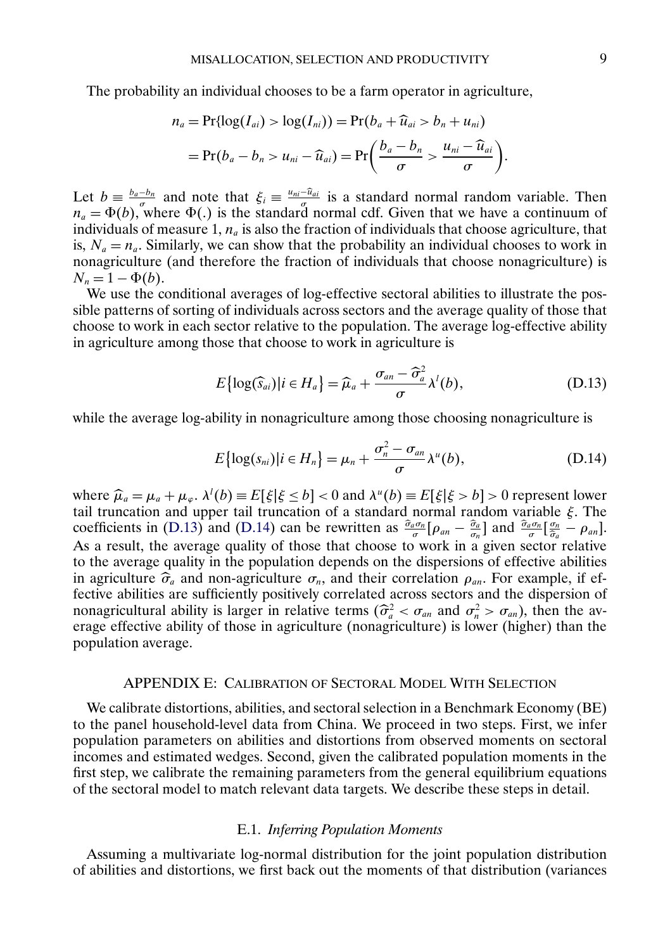The probability an individual chooses to be a farm operator in agriculture,

$$
n_a = \Pr\{ \log(I_{ai}) > \log(I_{ni})) = \Pr(b_a + \widehat{u}_{ai} > b_n + u_{ni})
$$
  
= 
$$
\Pr(b_a - b_n > u_{ni} - \widehat{u}_{ai}) = \Pr\left(\frac{b_a - b_n}{\sigma} > \frac{u_{ni} - \widehat{u}_{ai}}{\sigma}\right).
$$

Let  $b \equiv \frac{b_a - b_n}{\sigma}$  and note that  $\xi_i \equiv \frac{u_{ni} - \hat{u}_{ai}}{\sigma}$  is a standard normal random variable. Then  $n_a = \Phi(b)$ , where  $\Phi(.)$  is the standard normal cdf. Given that we have a continuum of individuals of measure 1,  $n_a$  is also the fraction of individuals that choose agriculture, that is,  $N_a = n_a$ . Similarly, we can show that the probability an individual chooses to work in nonagriculture (and therefore the fraction of individuals that choose nonagriculture) is  $N_n = 1 - \Phi(b).$ 

We use the conditional averages of log-effective sectoral abilities to illustrate the possible patterns of sorting of individuals across sectors and the average quality of those that choose to work in each sector relative to the population. The average log-effective ability in agriculture among those that choose to work in agriculture is

$$
E\{\log(\widehat{S}_{ai})|i \in H_a\} = \widehat{\mu}_a + \frac{\sigma_{an} - \widehat{\sigma}_a^2}{\sigma} \lambda^l(b), \tag{D.13}
$$

while the average log-ability in nonagriculture among those choosing nonagriculture is

$$
E\{\log(s_{ni})|i\in H_n\} = \mu_n + \frac{\sigma_n^2 - \sigma_{an}}{\sigma} \lambda^u(b),
$$
 (D.14)

where  $\hat{\mu}_a = \mu_a + \mu_{\varphi}$ ,  $\lambda^l(b) \equiv E[\xi | \xi \le b] < 0$  and  $\lambda^u(b) \equiv E[\xi | \xi > b] > 0$  represent lower tail truncation and upper tail truncation of a standard normal random variable  $\xi$ . The tail truncation and upper tail truncation of a standard normal random variable  $\xi$ . The coefficients in (D.13) and (D.14) can be rewritten as  $\frac{\hat{\sigma}_a \sigma_n}{\sigma} [\rho_{an} - \frac{\hat{\sigma}_a}{\sigma_n}]$  and  $\frac{\hat{\sigma}_a \sigma_n}{\sigma_a} [\frac{\sigma_n}{\hat{\sigma}_a} - \rho_{an}]$ . As a result, the average quality of those that choose to work in a given sector relative to the average quality in the population depends on the dispersions of effective abilities in agriculture  $\hat{\sigma}_a$  and non-agriculture  $\sigma_n$ , and their correlation  $\rho_{an}$ . For example, if effective abilities are sufficiently positively correlated across sectors and the dispersion of nonagricultural ability is larger in relative terms  $(\hat{\sigma}_a^2 < \sigma_{an}$  and  $\sigma_n^2 > \sigma_{an}$ ), then the av-<br>erage effective ability of those in agriculture (nonagriculture) is lower (higher) than the erage effective ability of those in agriculture (nonagriculture) is lower (higher) than the population average.

#### APPENDIX E: CALIBRATION OF SECTORAL MODEL WITH SELECTION

We calibrate distortions, abilities, and sectoral selection in a Benchmark Economy (BE) to the panel household-level data from China. We proceed in two steps. First, we infer population parameters on abilities and distortions from observed moments on sectoral incomes and estimated wedges. Second, given the calibrated population moments in the first step, we calibrate the remaining parameters from the general equilibrium equations of the sectoral model to match relevant data targets. We describe these steps in detail.

### E.1. *Inferring Population Moments*

Assuming a multivariate log-normal distribution for the joint population distribution of abilities and distortions, we first back out the moments of that distribution (variances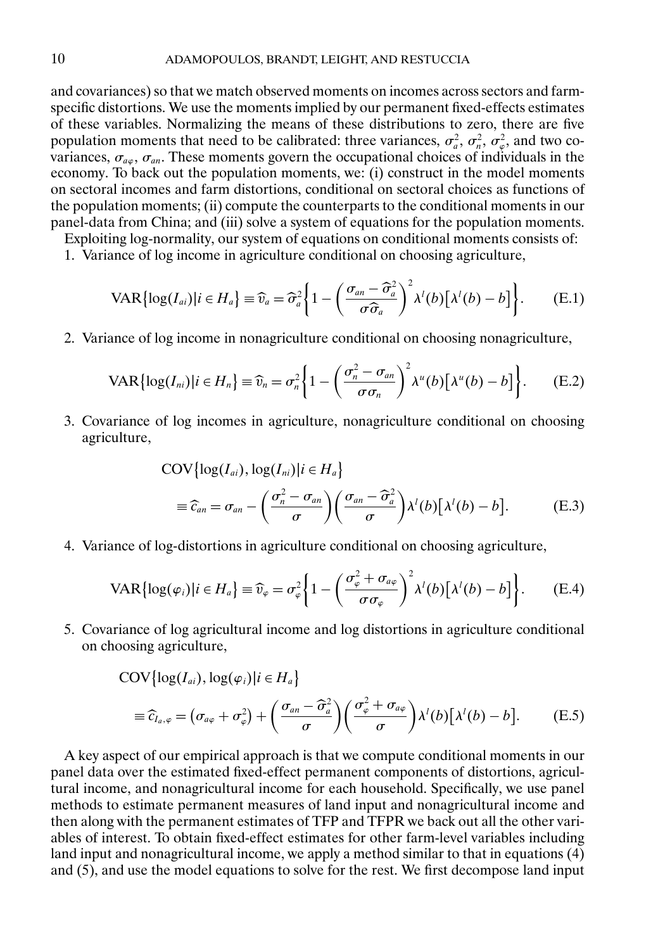<span id="page-9-0"></span>and covariances) so that we match observed moments on incomes across sectors and farmspecific distortions. We use the moments implied by our permanent fixed-effects estimates of these variables. Normalizing the means of these distributions to zero, there are five population moments that need to be calibrated: three variances,  $\sigma_a^2$ ,  $\sigma_n^2$ ,  $\sigma_\varphi^2$ , and two covariances,  $\sigma_{a\varphi}$ ,  $\sigma_{an}$ . These moments govern the occupational choices of individuals in the economy. To back out the population moments, we: (i) construct in the model moments on sectoral incomes and farm distortions, conditional on sectoral choices as functions of the population moments; (ii) compute the counterparts to the conditional moments in our panel-data from China; and (iii) solve a system of equations for the population moments.

Exploiting log-normality, our system of equations on conditional moments consists of:

1. Variance of log income in agriculture conditional on choosing agriculture,

$$
VAR[log(I_{ai})|i \in H_a] \equiv \widehat{v}_a = \widehat{\sigma}_a^2 \bigg\{ 1 - \bigg(\frac{\sigma_{an} - \widehat{\sigma}_a^2}{\sigma \widehat{\sigma}_a}\bigg)^2 \lambda^l(b) [\lambda^l(b) - b] \bigg\}.
$$
 (E.1)

2. Variance of log income in nonagriculture conditional on choosing nonagriculture,

$$
VAR[log(I_{ni})|i \in H_n] \equiv \widehat{v}_n = \sigma_n^2 \bigg\{ 1 - \bigg(\frac{\sigma_n^2 - \sigma_{an}}{\sigma \sigma_n}\bigg)^2 \lambda^u(b) [\lambda^u(b) - b] \bigg\}.
$$
 (E.2)

3. Covariance of log incomes in agriculture, nonagriculture conditional on choosing agriculture,

$$
COV\{\log(I_{ai}), \log(I_{ni}) | i \in H_a\}
$$
  
\n
$$
\equiv \widehat{c}_{an} = \sigma_{an} - \left(\frac{\sigma_n^2 - \sigma_{an}}{\sigma}\right) \left(\frac{\sigma_{an} - \widehat{\sigma}_a^2}{\sigma}\right) \lambda^l(b) [\lambda^l(b) - b].
$$
 (E.3)

4. Variance of log-distortions in agriculture conditional on choosing agriculture,

$$
VAR[log(\varphi_i)|i \in H_a] \equiv \widehat{v}_{\varphi} = \sigma_{\varphi}^2 \bigg\{ 1 - \bigg( \frac{\sigma_{\varphi}^2 + \sigma_{a\varphi}}{\sigma_{\varphi}} \bigg)^2 \lambda'(b) \big[ \lambda'(b) - b \big] \bigg\}.
$$
 (E.4)

5. Covariance of log agricultural income and log distortions in agriculture conditional on choosing agriculture,

$$
COV\{\log(I_{ai}), \log(\varphi_i)|i \in H_a\}
$$
  
\n
$$
\equiv \widehat{c}_{I_a,\varphi} = (\sigma_{a\varphi} + \sigma_{\varphi}^2) + \left(\frac{\sigma_{an} - \widehat{\sigma}_a^2}{\sigma}\right) \left(\frac{\sigma_{\varphi}^2 + \sigma_{a\varphi}}{\sigma}\right) \lambda^l(b) [\lambda^l(b) - b].
$$
 (E.5)

A key aspect of our empirical approach is that we compute conditional moments in our panel data over the estimated fixed-effect permanent components of distortions, agricultural income, and nonagricultural income for each household. Specifically, we use panel methods to estimate permanent measures of land input and nonagricultural income and then along with the permanent estimates of TFP and TFPR we back out all the other variables of interest. To obtain fixed-effect estimates for other farm-level variables including land input and nonagricultural income, we apply a method similar to that in equations (4) and (5), and use the model equations to solve for the rest. We first decompose land input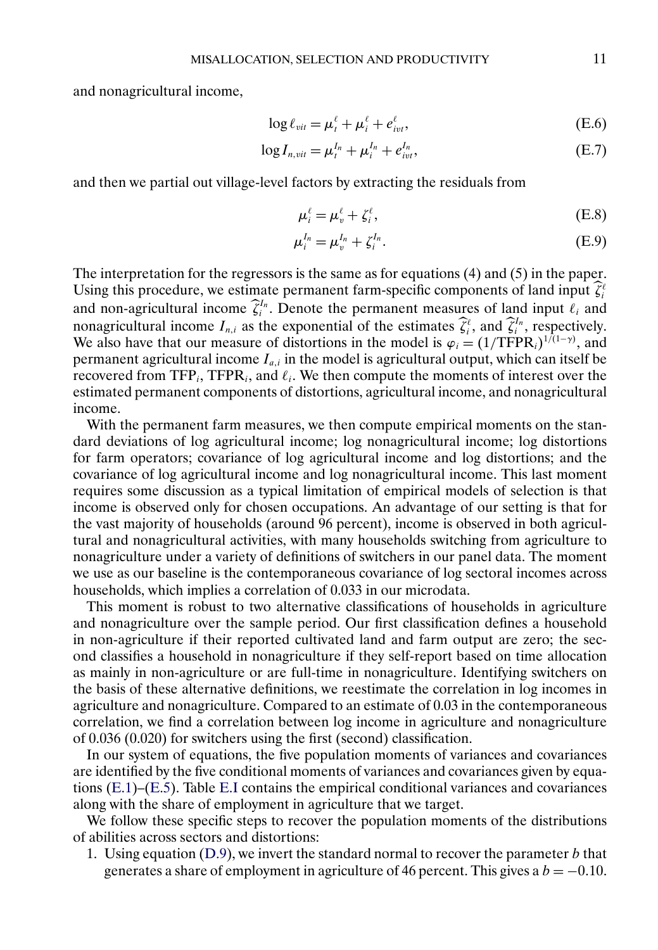and nonagricultural income,

$$
\log \ell_{\textit{vit}} = \mu_t^{\ell} + \mu_i^{\ell} + e_{\textit{ivt}}^{\ell}, \tag{E.6}
$$

$$
\log I_{n,vit} = \mu_t^{I_n} + \mu_i^{I_n} + e_{ivt}^{I_n},
$$
 (E.7)

and then we partial out village-level factors by extracting the residuals from

$$
\mu_i^{\ell} = \mu_v^{\ell} + \zeta_i^{\ell},\tag{E.8}
$$

$$
\mu_i^{I_n} = \mu_v^{I_n} + \zeta_i^{I_n}.
$$
 (E.9)

The interpretation for the regressors is the same as for equations (4) and (5) in the paper. Using this procedure, we estimate permanent farm-specific components of land input  $\zeta_i^{\ell}$ and non-agricultural income  $\hat{\zeta}_i^{I_n}$ . Denote the permanent measures of land input  $\ell_i$  and nonagricultural income  $I_{n,i}$  as the exponential of the estimates  $\hat{\zeta}_i^{\ell}$ , and  $\hat{\zeta}_i^{I_n}$ , respectively. We also have that our measure of distortions in the model is  $\varphi_i = (1/TFPR_i)^{1/(1-\gamma)}$ , and permanent agricultural income  $I_{a,i}$  in the model is agricultural output, which can itself be recovered from TFP<sub>i</sub>, TFPR<sub>i</sub>, and  $\ell_i$ . We then compute the moments of interest over the estimated permanent components of distortions, agricultural income, and nonagricultural income.

With the permanent farm measures, we then compute empirical moments on the standard deviations of log agricultural income; log nonagricultural income; log distortions for farm operators; covariance of log agricultural income and log distortions; and the covariance of log agricultural income and log nonagricultural income. This last moment requires some discussion as a typical limitation of empirical models of selection is that income is observed only for chosen occupations. An advantage of our setting is that for the vast majority of households (around 96 percent), income is observed in both agricultural and nonagricultural activities, with many households switching from agriculture to nonagriculture under a variety of definitions of switchers in our panel data. The moment we use as our baseline is the contemporaneous covariance of log sectoral incomes across households, which implies a correlation of 0.033 in our microdata.

This moment is robust to two alternative classifications of households in agriculture and nonagriculture over the sample period. Our first classification defines a household in non-agriculture if their reported cultivated land and farm output are zero; the second classifies a household in nonagriculture if they self-report based on time allocation as mainly in non-agriculture or are full-time in nonagriculture. Identifying switchers on the basis of these alternative definitions, we reestimate the correlation in log incomes in agriculture and nonagriculture. Compared to an estimate of 0.03 in the contemporaneous correlation, we find a correlation between log income in agriculture and nonagriculture of 0.036 (0.020) for switchers using the first (second) classification.

In our system of equations, the five population moments of variances and covariances are identified by the five conditional moments of variances and covariances given by equations [\(E.1\)](#page-9-0)–[\(E.5\)](#page-9-0). Table [E.I](#page-11-0) contains the empirical conditional variances and covariances along with the share of employment in agriculture that we target.

We follow these specific steps to recover the population moments of the distributions of abilities across sectors and distortions:

1. Using equation  $(D.9)$ , we invert the standard normal to recover the parameter b that generates a share of employment in agriculture of 46 percent. This gives a  $b = -0.10$ .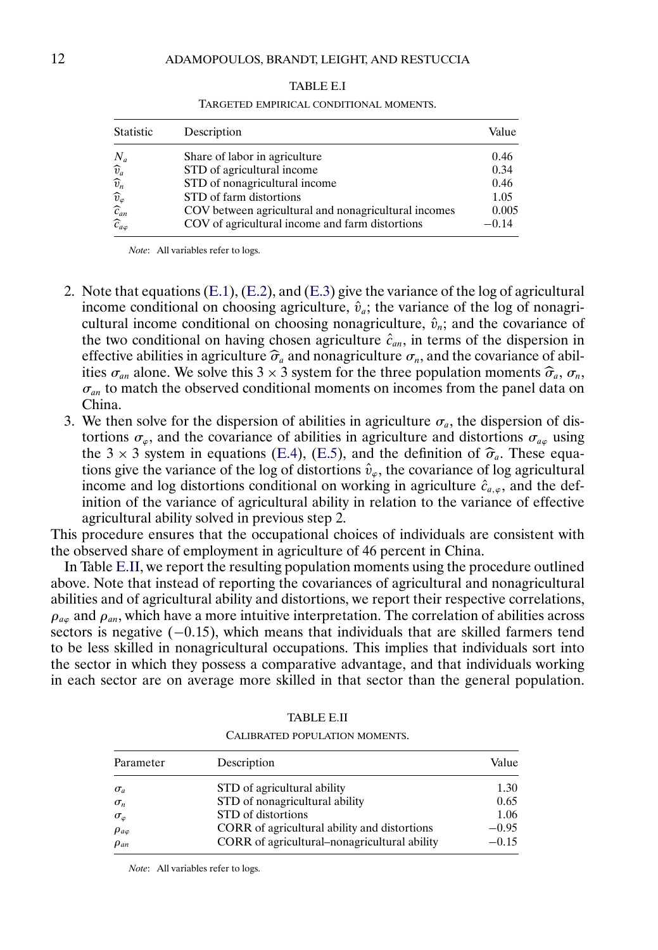<span id="page-11-0"></span>

| Statistic                                     | Description                                          | Value   |
|-----------------------------------------------|------------------------------------------------------|---------|
| $N_a$                                         | Share of labor in agriculture                        | 0.46    |
|                                               | STD of agricultural income                           | 0.34    |
| $\widehat{v}_{a}$<br>$\widehat{v}_{n}$        | STD of nonagricultural income                        | 0.46    |
|                                               | STD of farm distortions                              | 1.05    |
| $\widehat{v}_{\varphi}$<br>$\widehat{c}_{an}$ | COV between agricultural and nonagricultural incomes | 0.005   |
| $\widehat{c}_{a\varphi}$                      | COV of agricultural income and farm distortions      | $-0.14$ |

TABLE E.I TARGETED EMPIRICAL CONDITIONAL MOMENTS.

*Note*: All variables refer to logs.

- 2. Note that equations  $(E.1)$ ,  $(E.2)$ , and  $(E.3)$  give the variance of the log of agricultural income conditional on choosing agriculture,  $\hat{v}_a$ ; the variance of the log of nonagricultural income conditional on choosing nonagriculture,  $\hat{v}_n$ ; and the covariance of the two conditional on having chosen agriculture  $\hat{c}_{an}$ , in terms of the dispersion in effective abilities in agriculture  $\hat{\sigma}_a$  and nonagriculture  $\sigma_n$ , and the covariance of abilities  $\sigma_{an}$  alone. We solve this 3 × 3 system for the three population moments  $\hat{\sigma}_a$ ,  $\sigma_n$ ,  $\sigma_{an}$  to match the observed conditional moments on incomes from the panel data on China.
- 3. We then solve for the dispersion of abilities in agriculture  $\sigma_a$ , the dispersion of distortions  $\sigma_{\varphi}$ , and the covariance of abilities in agriculture and distortions  $\sigma_{\varphi}$  using the 3  $\times$  3 system in equations [\(E.4\)](#page-9-0), [\(E.5\)](#page-9-0), and the definition of  $\hat{\sigma}_a$ . These equations give the variance of the log of distortions  $\hat{v}_\varphi$ , the covariance of log agricultural income and log distortions conditional on working in agriculture  $\hat{c}_{a,\varphi}$ , and the definition of the variance of agricultural ability in relation to the variance of effective agricultural ability solved in previous step 2.

This procedure ensures that the occupational choices of individuals are consistent with the observed share of employment in agriculture of 46 percent in China.

In Table E.II, we report the resulting population moments using the procedure outlined above. Note that instead of reporting the covariances of agricultural and nonagricultural abilities and of agricultural ability and distortions, we report their respective correlations,  $\rho_{\mu\mu}$  and  $\rho_{\mu\mu}$ , which have a more intuitive interpretation. The correlation of abilities across sectors is negative  $(-0.15)$ , which means that individuals that are skilled farmers tend to be less skilled in nonagricultural occupations. This implies that individuals sort into the sector in which they possess a comparative advantage, and that individuals working in each sector are on average more skilled in that sector than the general population.

| Parameter          | Description                                  | Value   |
|--------------------|----------------------------------------------|---------|
| $\sigma_a$         | STD of agricultural ability                  | 1.30    |
| $\sigma_n$         | STD of nonagricultural ability               | 0.65    |
| $\sigma_{\varphi}$ | STD of distortions                           | 1.06    |
| $\rho_{a\varphi}$  | CORR of agricultural ability and distortions | $-0.95$ |
| $\rho_{an}$        | CORR of agricultural-nonagricultural ability | $-0.15$ |
|                    |                                              |         |

TABLE E.II CALIBRATED POPULATION MOMENTS.

*Note*: All variables refer to logs.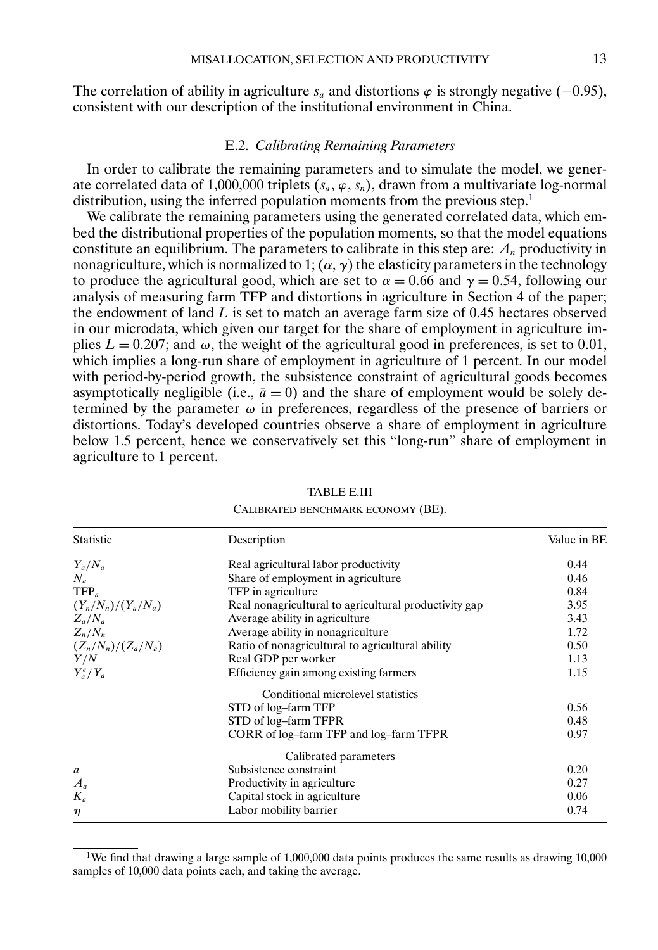<span id="page-12-0"></span>The correlation of ability in agriculture  $s_a$  and distortions  $\varphi$  is strongly negative (−0.95), consistent with our description of the institutional environment in China.

#### E.2. *Calibrating Remaining Parameters*

In order to calibrate the remaining parameters and to simulate the model, we generate correlated data of 1,000,000 triplets  $(s_a, \varphi, s_n)$ , drawn from a multivariate log-normal distribution, using the inferred population moments from the previous step.<sup>1</sup>

We calibrate the remaining parameters using the generated correlated data, which embed the distributional properties of the population moments, so that the model equations constitute an equilibrium. The parameters to calibrate in this step are:  $A_n$  productivity in nonagriculture, which is normalized to 1;  $(\alpha, \gamma)$  the elasticity parameters in the technology to produce the agricultural good, which are set to  $\alpha = 0.66$  and  $\gamma = 0.54$ , following our analysis of measuring farm TFP and distortions in agriculture in Section 4 of the paper; the endowment of land  $L$  is set to match an average farm size of 0.45 hectares observed in our microdata, which given our target for the share of employment in agriculture implies  $L = 0.207$ ; and  $\omega$ , the weight of the agricultural good in preferences, is set to 0.01, which implies a long-run share of employment in agriculture of 1 percent. In our model with period-by-period growth, the subsistence constraint of agricultural goods becomes asymptotically negligible (i.e.,  $\bar{a} = 0$ ) and the share of employment would be solely determined by the parameter  $\omega$  in preferences, regardless of the presence of barriers or distortions. Today's developed countries observe a share of employment in agriculture below 1.5 percent, hence we conservatively set this "long-run" share of employment in agriculture to 1 percent.

| Statistic             | Description                                           | Value in BE |
|-----------------------|-------------------------------------------------------|-------------|
| $Y_a/N_a$             | Real agricultural labor productivity                  | 0.44        |
| $N_a$                 | Share of employment in agriculture                    | 0.46        |
| $TFP_a$               | TFP in agriculture                                    | 0.84        |
| $(Y_n/N_n)/(Y_a/N_a)$ | Real nonagricultural to agricultural productivity gap | 3.95        |
| $Z_a/N_a$             | Average ability in agriculture                        | 3.43        |
| $Z_n/N_n$             | Average ability in nonagriculture.                    | 1.72        |
| $(Z_n/N_n)/(Z_a/N_a)$ | Ratio of nonagricultural to agricultural ability      | 0.50        |
| Y/N                   | Real GDP per worker                                   | 1.13        |
| $Y_a^e/Y_a$           | Efficiency gain among existing farmers                | 1.15        |
|                       | Conditional microlevel statistics                     |             |
|                       | STD of log-farm TFP                                   | 0.56        |
|                       | STD of log-farm TFPR                                  | 0.48        |
|                       | CORR of log-farm TFP and log-farm TFPR                | 0.97        |
|                       | Calibrated parameters                                 |             |
| $\bar{a}$             | Subsistence constraint                                | 0.20        |
| $A_a$                 | Productivity in agriculture                           | 0.27        |
| $K_a$                 | Capital stock in agriculture                          | 0.06        |
| η                     | Labor mobility barrier                                | 0.74        |

TABLE E.III

CALIBRATED BENCHMARK ECONOMY (BE).

<sup>&</sup>lt;sup>1</sup>We find that drawing a large sample of 1,000,000 data points produces the same results as drawing 10,000 samples of 10,000 data points each, and taking the average.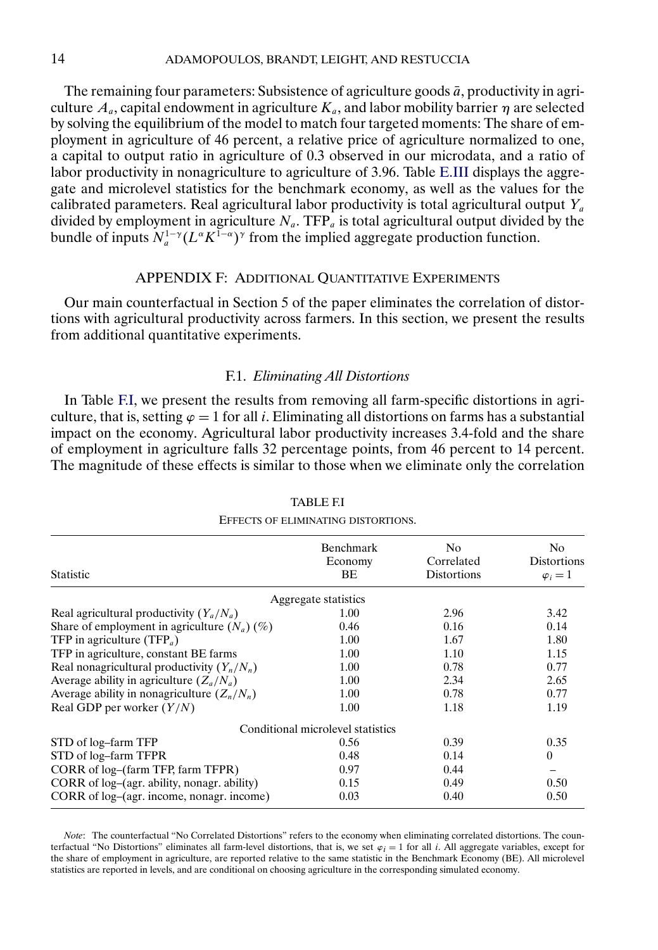The remaining four parameters: Subsistence of agriculture goods  $\bar{a}$ , productivity in agriculture  $A_a$ , capital endowment in agriculture  $K_a$ , and labor mobility barrier  $\eta$  are selected by solving the equilibrium of the model to match four targeted moments: The share of employment in agriculture of 46 percent, a relative price of agriculture normalized to one, a capital to output ratio in agriculture of 0.3 observed in our microdata, and a ratio of labor productivity in nonagriculture to agriculture of 3.96. Table [E.III](#page-12-0) displays the aggregate and microlevel statistics for the benchmark economy, as well as the values for the calibrated parameters. Real agricultural labor productivity is total agricultural output  $Y_a$ divided by employment in agriculture  $N_a$ . TFP<sub>a</sub> is total agricultural output divided by the bundle of inputs  $N_a^{1-\gamma}(L^{\alpha}K^{1-\alpha})^{\gamma}$  from the implied aggregate production function.

### APPENDIX F: ADDITIONAL QUANTITATIVE EXPERIMENTS

Our main counterfactual in Section 5 of the paper eliminates the correlation of distortions with agricultural productivity across farmers. In this section, we present the results from additional quantitative experiments.

### F.1. *Eliminating All Distortions*

In Table F.I, we present the results from removing all farm-specific distortions in agriculture, that is, setting  $\varphi = 1$  for all *i*. Eliminating all distortions on farms has a substantial impact on the economy. Agricultural labor productivity increases 3.4-fold and the share of employment in agriculture falls 32 percentage points, from 46 percent to 14 percent. The magnitude of these effects is similar to those when we eliminate only the correlation

| <b>Statistic</b>                               | <b>Benchmark</b><br>Economy<br>BE | N <sub>0</sub><br>Correlated<br><b>Distortions</b> | N <sub>0</sub><br><b>Distortions</b><br>$\varphi_i=1$ |  |
|------------------------------------------------|-----------------------------------|----------------------------------------------------|-------------------------------------------------------|--|
|                                                | Aggregate statistics              |                                                    |                                                       |  |
| Real agricultural productivity $(Y_a/N_a)$     | 1.00                              | 2.96                                               | 3.42                                                  |  |
| Share of employment in agriculture $(N_a)$ (%) | 0.46                              | 0.16                                               | 0.14                                                  |  |
| TFP in agriculture (TFP <sub>a</sub> )         | 1.00                              | 1.67                                               | 1.80                                                  |  |
| TFP in agriculture, constant BE farms          | 1.00                              | 1.10                                               | 1.15                                                  |  |
| Real nonagricultural productivity $(Y_n/N_n)$  | 1.00                              | 0.78                                               | 0.77                                                  |  |
| Average ability in agriculture $(Z_a/N_a)$     | 1.00                              | 2.34                                               | 2.65                                                  |  |
| Average ability in nonagriculture $(Z_n/N_n)$  | 1.00                              | 0.78                                               | 0.77                                                  |  |
| Real GDP per worker $(Y/N)$                    | 1.00                              | 1.18                                               | 1.19                                                  |  |
|                                                | Conditional microlevel statistics |                                                    |                                                       |  |
| STD of log-farm TFP                            | 0.56                              | 0.39                                               | 0.35                                                  |  |
| STD of log-farm TFPR                           | 0.48                              | 0.14                                               | $\mathbf{0}$                                          |  |
| CORR of log-(farm TFP, farm TFPR)              | 0.97                              | 0.44                                               |                                                       |  |
| CORR of log-(agr. ability, nonagr. ability)    | 0.15                              | 0.49                                               | 0.50                                                  |  |
| CORR of log-(agr. income, nonagr. income)      | 0.03                              | 0.40                                               | 0.50                                                  |  |

TABLE F.I EFFECTS OF ELIMINATING DISTORTIONS.

*Note*: The counterfactual "No Correlated Distortions" refers to the economy when eliminating correlated distortions. The counterfactual "No Distortions" eliminates all farm-level distortions, that is, we set  $\varphi_i = 1$  for all *i*. All aggregate variables, except for the share of employment in agriculture, are reported relative to the same statistic in the Benchmark Economy (BE). All microlevel statistics are reported in levels, and are conditional on choosing agriculture in the corresponding simulated economy.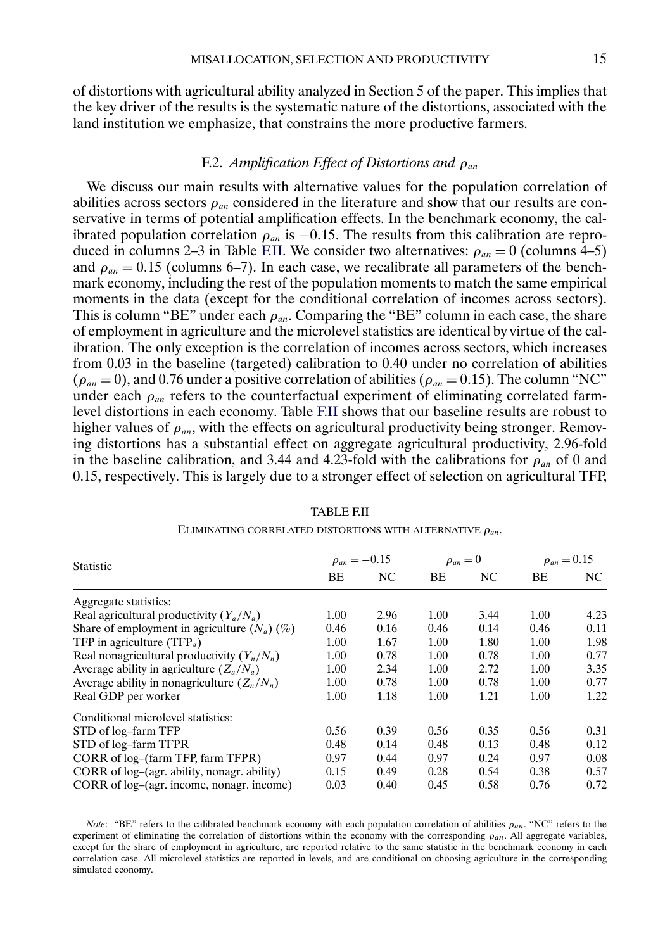of distortions with agricultural ability analyzed in Section 5 of the paper. This implies that the key driver of the results is the systematic nature of the distortions, associated with the land institution we emphasize, that constrains the more productive farmers.

# F.2. *Amplification Effect of Distortions and ρ*<sub>*an*</sub>

We discuss our main results with alternative values for the population correlation of abilities across sectors  $\rho_{an}$  considered in the literature and show that our results are conservative in terms of potential amplification effects. In the benchmark economy, the calibrated population correlation  $\rho_{an}$  is −0.15. The results from this calibration are reproduced in columns 2–3 in Table F.II. We consider two alternatives:  $\rho_{an} = 0$  (columns 4–5) and  $\rho_{an} = 0.15$  (columns 6–7). In each case, we recalibrate all parameters of the benchmark economy, including the rest of the population moments to match the same empirical moments in the data (except for the conditional correlation of incomes across sectors). This is column "BE" under each  $\rho_{an}$ . Comparing the "BE" column in each case, the share of employment in agriculture and the microlevel statistics are identical by virtue of the calibration. The only exception is the correlation of incomes across sectors, which increases from 0.03 in the baseline (targeted) calibration to 0.40 under no correlation of abilities  $(\rho_{an} = 0)$ , and 0.76 under a positive correlation of abilities ( $\rho_{an} = 0.15$ ). The column "NC" under each  $\rho_{an}$  refers to the counterfactual experiment of eliminating correlated farmlevel distortions in each economy. Table F.II shows that our baseline results are robust to higher values of  $\rho_{an}$ , with the effects on agricultural productivity being stronger. Removing distortions has a substantial effect on aggregate agricultural productivity, 2.96-fold in the baseline calibration, and 3.44 and 4.23-fold with the calibrations for  $\rho_{an}$  of 0 and 0.15, respectively. This is largely due to a stronger effect of selection on agricultural TFP,

| <b>Statistic</b>                               | $\rho_{an} = -0.15$ |      | $\rho_{an}=0$ |      | $\rho_{an} = 0.15$ |         |
|------------------------------------------------|---------------------|------|---------------|------|--------------------|---------|
|                                                | <b>BE</b>           | NC   | <b>BE</b>     | NC   | <b>BE</b>          | NC      |
| Aggregate statistics:                          |                     |      |               |      |                    |         |
| Real agricultural productivity $(Y_a/N_a)$     | 1.00                | 2.96 | 1.00          | 3.44 | 1.00               | 4.23    |
| Share of employment in agriculture $(N_a)$ (%) | 0.46                | 0.16 | 0.46          | 0.14 | 0.46               | 0.11    |
| TFP in agriculture (TFP <sub>a</sub> )         | 1.00                | 1.67 | 1.00          | 1.80 | 1.00               | 1.98    |
| Real nonagricultural productivity $(Y_n/N_n)$  | 1.00                | 0.78 | 1.00          | 0.78 | 1.00               | 0.77    |
| Average ability in agriculture $(Z_a/N_a)$     | 1.00                | 2.34 | 1.00          | 2.72 | 1.00               | 3.35    |
| Average ability in nonagriculture $(Z_n/N_n)$  | 1.00                | 0.78 | 1.00          | 0.78 | 1.00               | 0.77    |
| Real GDP per worker                            | 1.00                | 1.18 | 1.00          | 1.21 | 1.00               | 1.22    |
| Conditional microlevel statistics:             |                     |      |               |      |                    |         |
| STD of log-farm TFP                            | 0.56                | 0.39 | 0.56          | 0.35 | 0.56               | 0.31    |
| STD of log-farm TFPR                           | 0.48                | 0.14 | 0.48          | 0.13 | 0.48               | 0.12    |
| CORR of log-(farm TFP, farm TFPR)              | 0.97                | 0.44 | 0.97          | 0.24 | 0.97               | $-0.08$ |
| CORR of log-(agr. ability, nonagr. ability)    | 0.15                | 0.49 | 0.28          | 0.54 | 0.38               | 0.57    |
| CORR of log-(agr. income, nonagr. income)      | 0.03                | 0.40 | 0.45          | 0.58 | 0.76               | 0.72    |

# TABLE F.II ELIMINATING CORRELATED DISTORTIONS WITH ALTERNATIVE  $\rho_{an}$ .

*Note*: "BE" refers to the calibrated benchmark economy with each population correlation of abilities  $\rho_{an}$ . "NC" refers to the experiment of eliminating the correlation of distortions within the economy with the corresponding  $\rho_{an}$ . All aggregate variables, except for the share of employment in agriculture, are reported relative to the same statistic in the benchmark economy in each correlation case. All microlevel statistics are reported in levels, and are conditional on choosing agriculture in the corresponding simulated economy.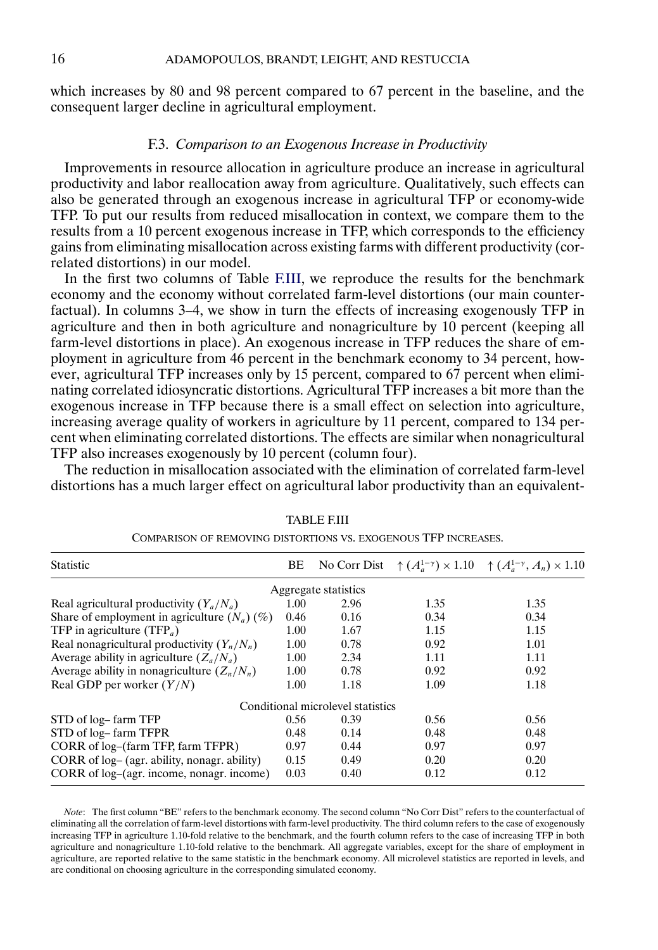which increases by 80 and 98 percent compared to 67 percent in the baseline, and the consequent larger decline in agricultural employment.

# F.3. *Comparison to an Exogenous Increase in Productivity*

Improvements in resource allocation in agriculture produce an increase in agricultural productivity and labor reallocation away from agriculture. Qualitatively, such effects can also be generated through an exogenous increase in agricultural TFP or economy-wide TFP. To put our results from reduced misallocation in context, we compare them to the results from a 10 percent exogenous increase in TFP, which corresponds to the efficiency gains from eliminating misallocation across existing farms with different productivity (correlated distortions) in our model.

In the first two columns of Table F.III, we reproduce the results for the benchmark economy and the economy without correlated farm-level distortions (our main counterfactual). In columns 3–4, we show in turn the effects of increasing exogenously TFP in agriculture and then in both agriculture and nonagriculture by 10 percent (keeping all farm-level distortions in place). An exogenous increase in TFP reduces the share of employment in agriculture from 46 percent in the benchmark economy to 34 percent, however, agricultural TFP increases only by 15 percent, compared to 67 percent when eliminating correlated idiosyncratic distortions. Agricultural TFP increases a bit more than the exogenous increase in TFP because there is a small effect on selection into agriculture, increasing average quality of workers in agriculture by 11 percent, compared to 134 percent when eliminating correlated distortions. The effects are similar when nonagricultural TFP also increases exogenously by 10 percent (column four).

The reduction in misallocation associated with the elimination of correlated farm-level distortions has a much larger effect on agricultural labor productivity than an equivalent-

| Statistic                                      | BE   |                                   |      | No Corr Dist $\uparrow (A_a^{1-\gamma}) \times 1.10 \uparrow (A_a^{1-\gamma}, A_n) \times 1.10$ |
|------------------------------------------------|------|-----------------------------------|------|-------------------------------------------------------------------------------------------------|
|                                                |      | Aggregate statistics              |      |                                                                                                 |
| Real agricultural productivity $(Y_a/N_a)$     | 1.00 | 2.96                              | 1.35 | 1.35                                                                                            |
| Share of employment in agriculture $(N_a)$ (%) | 0.46 | 0.16                              | 0.34 | 0.34                                                                                            |
| TFP in agriculture (TFP <sub>a</sub> )         | 1.00 | 1.67                              | 1.15 | 1.15                                                                                            |
| Real nonagricultural productivity $(Y_n/N_n)$  | 1.00 | 0.78                              | 0.92 | 1.01                                                                                            |
| Average ability in agriculture $(Z_a/N_a)$     | 1.00 | 2.34                              | 1.11 | 1.11                                                                                            |
| Average ability in nonagriculture $(Z_n/N_n)$  | 1.00 | 0.78                              | 0.92 | 0.92                                                                                            |
| Real GDP per worker $(Y/N)$                    | 1.00 | 1.18                              | 1.09 | 1.18                                                                                            |
|                                                |      | Conditional microlevel statistics |      |                                                                                                 |
| STD of log– farm TFP                           | 0.56 | 0.39                              | 0.56 | 0.56                                                                                            |
| STD of log-farm TFPR                           | 0.48 | 0.14                              | 0.48 | 0.48                                                                                            |
| CORR of log-(farm TFP, farm TFPR)              | 0.97 | 0.44                              | 0.97 | 0.97                                                                                            |
| CORR of log– (agr. ability, nonagr. ability)   | 0.15 | 0.49                              | 0.20 | 0.20                                                                                            |
| CORR of log-(agr. income, nonagr. income)      | 0.03 | 0.40                              | 0.12 | 0.12                                                                                            |
|                                                |      |                                   |      |                                                                                                 |

TABLE F.III

COMPARISON OF REMOVING DISTORTIONS VS. EXOGENOUS TFP INCREASES.

*Note*: The first column "BE" refers to the benchmark economy. The second column "No Corr Dist" refers to the counterfactual of eliminating all the correlation of farm-level distortions with farm-level productivity. The third column refers to the case of exogenously increasing TFP in agriculture 1.10-fold relative to the benchmark, and the fourth column refers to the case of increasing TFP in both agriculture and nonagriculture 1.10-fold relative to the benchmark. All aggregate variables, except for the share of employment in agriculture, are reported relative to the same statistic in the benchmark economy. All microlevel statistics are reported in levels, and are conditional on choosing agriculture in the corresponding simulated economy.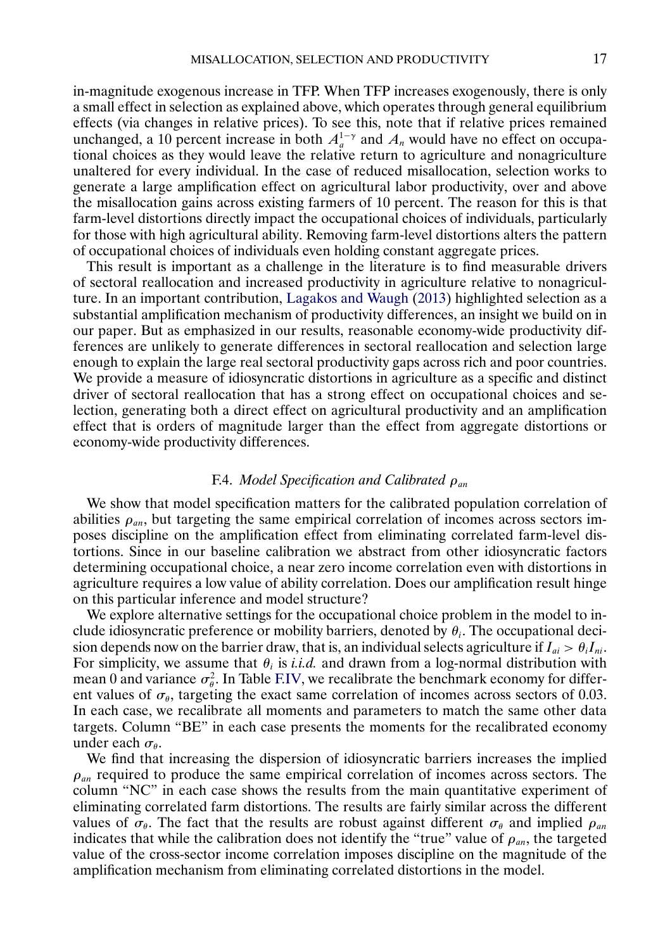<span id="page-16-0"></span>in-magnitude exogenous increase in TFP. When TFP increases exogenously, there is only a small effect in selection as explained above, which operates through general equilibrium effects (via changes in relative prices). To see this, note that if relative prices remained unchanged, a 10 percent increase in both  $A<sub>a</sub><sup>1- $\gamma$</sup>$  and  $A<sub>n</sub>$  would have no effect on occupational choices as they would leave the relative return to agriculture and nonagriculture unaltered for every individual. In the case of reduced misallocation, selection works to generate a large amplification effect on agricultural labor productivity, over and above the misallocation gains across existing farmers of 10 percent. The reason for this is that farm-level distortions directly impact the occupational choices of individuals, particularly for those with high agricultural ability. Removing farm-level distortions alters the pattern of occupational choices of individuals even holding constant aggregate prices.

This result is important as a challenge in the literature is to find measurable drivers of sectoral reallocation and increased productivity in agriculture relative to nonagriculture. In an important contribution, [Lagakos and Waugh](#page-17-0) [\(2013\)](#page-17-0) highlighted selection as a substantial amplification mechanism of productivity differences, an insight we build on in our paper. But as emphasized in our results, reasonable economy-wide productivity differences are unlikely to generate differences in sectoral reallocation and selection large enough to explain the large real sectoral productivity gaps across rich and poor countries. We provide a measure of idiosyncratic distortions in agriculture as a specific and distinct driver of sectoral reallocation that has a strong effect on occupational choices and selection, generating both a direct effect on agricultural productivity and an amplification effect that is orders of magnitude larger than the effect from aggregate distortions or economy-wide productivity differences.

# F.4. *Model Specification and Calibrated*  $ρ<sub>an</sub>$

We show that model specification matters for the calibrated population correlation of abilities  $\rho_{an}$ , but targeting the same empirical correlation of incomes across sectors imposes discipline on the amplification effect from eliminating correlated farm-level distortions. Since in our baseline calibration we abstract from other idiosyncratic factors determining occupational choice, a near zero income correlation even with distortions in agriculture requires a low value of ability correlation. Does our amplification result hinge on this particular inference and model structure?

We explore alternative settings for the occupational choice problem in the model to include idiosyncratic preference or mobility barriers, denoted by  $\theta_i$ . The occupational decision depends now on the barrier draw, that is, an individual selects agriculture if  $I_{ai} > \theta_i I_{ni}$ . For simplicity, we assume that  $\theta_i$  is *i.i.d.* and drawn from a log-normal distribution with mean 0 and variance  $\sigma_{\theta}^2$ . In Table [F.IV](#page-17-0), we recalibrate the benchmark economy for different values of  $\sigma_{\theta}$ , targeting the exact same correlation of incomes across sectors of 0.03. In each case, we recalibrate all moments and parameters to match the same other data targets. Column "BE" in each case presents the moments for the recalibrated economy under each  $\sigma_{\theta}$ .

We find that increasing the dispersion of idiosyncratic barriers increases the implied  $\rho_{an}$  required to produce the same empirical correlation of incomes across sectors. The column "NC" in each case shows the results from the main quantitative experiment of eliminating correlated farm distortions. The results are fairly similar across the different values of  $\sigma_{\theta}$ . The fact that the results are robust against different  $\sigma_{\theta}$  and implied  $\rho_{an}$ indicates that while the calibration does not identify the "true" value of  $\rho_{an}$ , the targeted value of the cross-sector income correlation imposes discipline on the magnitude of the amplification mechanism from eliminating correlated distortions in the model.